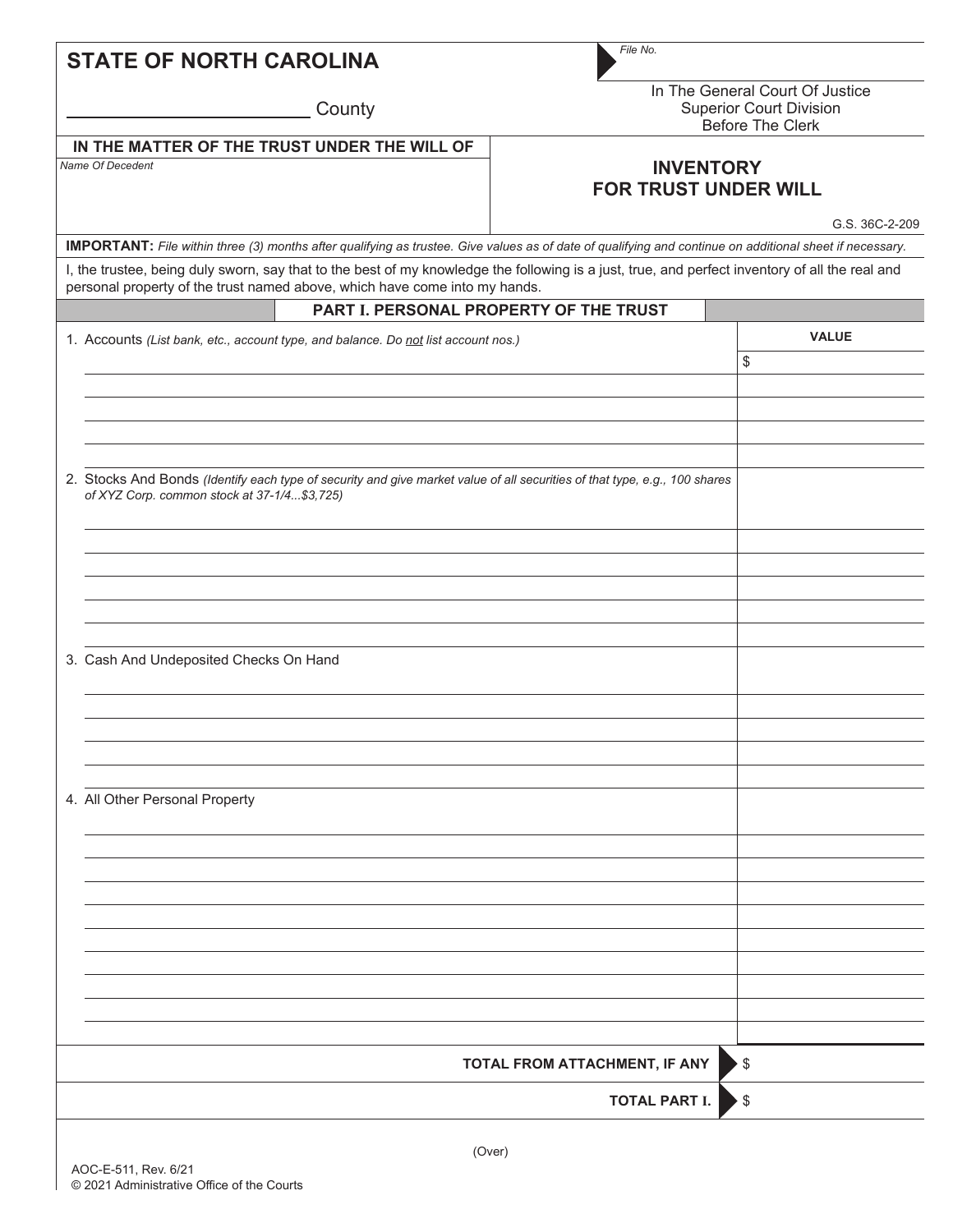| <b>STATE OF NORTH CAROLINA</b>                                                                                                                                                                                                | File No.                                                                                     |                    |
|-------------------------------------------------------------------------------------------------------------------------------------------------------------------------------------------------------------------------------|----------------------------------------------------------------------------------------------|--------------------|
| County                                                                                                                                                                                                                        | In The General Court Of Justice<br><b>Superior Court Division</b><br><b>Before The Clerk</b> |                    |
| IN THE MATTER OF THE TRUST UNDER THE WILL OF<br><b>Name Of Decedent</b>                                                                                                                                                       | <b>INVENTORY</b><br><b>FOR TRUST UNDER WILL</b><br>G.S. 36C-2-209                            |                    |
| <b>IMPORTANT:</b> File within three (3) months after qualifying as trustee. Give values as of date of qualifying and continue on additional sheet if necessary.                                                               |                                                                                              |                    |
| I, the trustee, being duly sworn, say that to the best of my knowledge the following is a just, true, and perfect inventory of all the real and<br>personal property of the trust named above, which have come into my hands. |                                                                                              |                    |
| PART I. PERSONAL PROPERTY OF THE TRUST                                                                                                                                                                                        |                                                                                              |                    |
| 1. Accounts (List bank, etc., account type, and balance. Do not list account nos.)                                                                                                                                            |                                                                                              | <b>VALUE</b><br>\$ |
| 2. Stocks And Bonds (Identify each type of security and give market value of all securities of that type, e.g., 100 shares<br>of XYZ Corp. common stock at 37-1/4\$3,725)                                                     |                                                                                              |                    |
| 3. Cash And Undeposited Checks On Hand                                                                                                                                                                                        |                                                                                              |                    |
|                                                                                                                                                                                                                               |                                                                                              |                    |
| 4. All Other Personal Property                                                                                                                                                                                                |                                                                                              |                    |
|                                                                                                                                                                                                                               |                                                                                              |                    |
|                                                                                                                                                                                                                               | TOTAL FROM ATTACHMENT, IF ANY                                                                |                    |
|                                                                                                                                                                                                                               |                                                                                              | \$                 |
|                                                                                                                                                                                                                               | <b>TOTAL PART I.</b>                                                                         | \$                 |